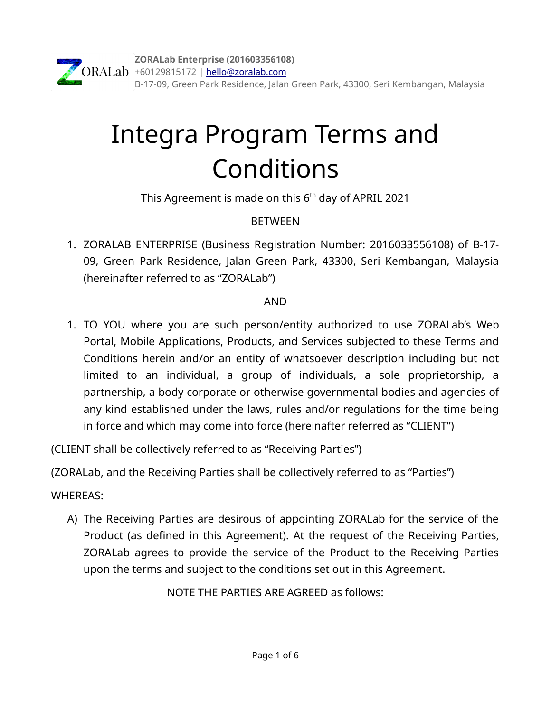# Integra Program Terms and Conditions

This Agreement is made on this  $6<sup>th</sup>$  day of APRIL 2021

## **BETWEEN**

1. ZORALAB ENTERPRISE (Business Registration Number: 2016033556108) of B-17- 09, Green Park Residence, Jalan Green Park, 43300, Seri Kembangan, Malaysia (hereinafter referred to as "ZORALab")

## AND

1. TO YOU where you are such person/entity authorized to use ZORALab's Web Portal, Mobile Applications, Products, and Services subjected to these Terms and Conditions herein and/or an entity of whatsoever description including but not limited to an individual, a group of individuals, a sole proprietorship, a partnership, a body corporate or otherwise governmental bodies and agencies of any kind established under the laws, rules and/or regulations for the time being in force and which may come into force (hereinafter referred as "CLIENT")

(CLIENT shall be collectively referred to as "Receiving Parties")

(ZORALab, and the Receiving Parties shall be collectively referred to as "Parties")

## WHEREAS:

A) The Receiving Parties are desirous of appointing ZORALab for the service of the Product (as defined in this Agreement). At the request of the Receiving Parties, ZORALab agrees to provide the service of the Product to the Receiving Parties upon the terms and subject to the conditions set out in this Agreement.

NOTE THE PARTIES ARE AGREED as follows: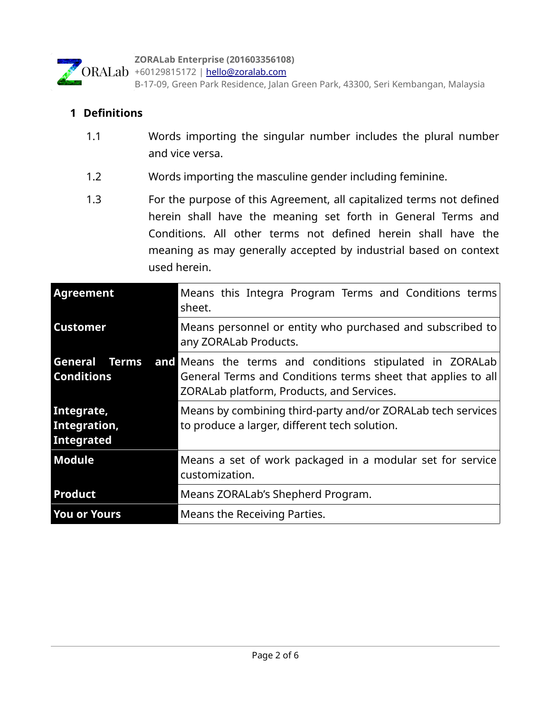

B-17-09, Green Park Residence, Jalan Green Park, 43300, Seri Kembangan, Malaysia

#### **1 Definitions**

- 1.1 Words importing the singular number includes the plural number and vice versa.
- 1.2 Words importing the masculine gender including feminine.
- 1.3 For the purpose of this Agreement, all capitalized terms not defined herein shall have the meaning set forth in General Terms and Conditions. All other terms not defined herein shall have the meaning as may generally accepted by industrial based on context used herein.

| Agreement                                | Means this Integra Program Terms and Conditions terms<br>sheet.                                                                                                                            |
|------------------------------------------|--------------------------------------------------------------------------------------------------------------------------------------------------------------------------------------------|
| <b>Customer</b>                          | Means personnel or entity who purchased and subscribed to<br>any ZORALab Products.                                                                                                         |
| <b>Conditions</b>                        | <b>General Terms and Means the terms and conditions stipulated in ZORALab</b><br>General Terms and Conditions terms sheet that applies to all<br>ZORALab platform, Products, and Services. |
| Integrate,<br>Integration,<br>Integrated | Means by combining third-party and/or ZORALab tech services<br>to produce a larger, different tech solution.                                                                               |
| Module                                   | Means a set of work packaged in a modular set for service<br>customization.                                                                                                                |
| <b>Product</b>                           | Means ZORALab's Shepherd Program.                                                                                                                                                          |
| <b>You or Yours</b>                      | Means the Receiving Parties.                                                                                                                                                               |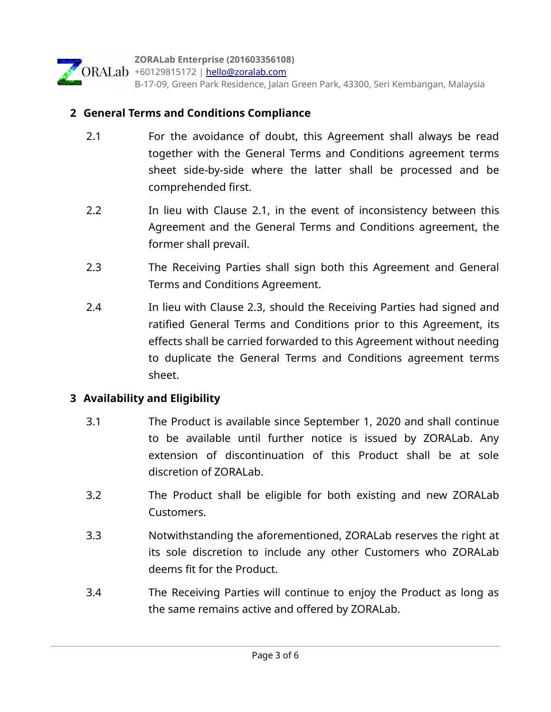

#### **2 General Terms and Conditions Compliance**

- 2.1 For the avoidance of doubt, this Agreement shall always be read together with the General Terms and Conditions agreement terms sheet side-by-side where the latter shall be processed and be comprehended first.
- 2.2 In lieu with Clause 2.1, in the event of inconsistency between this Agreement and the General Terms and Conditions agreement, the former shall prevail.
- 2.3 The Receiving Parties shall sign both this Agreement and General Terms and Conditions Agreement.
- 2.4 In lieu with Clause 2.3, should the Receiving Parties had signed and ratified General Terms and Conditions prior to this Agreement, its effects shall be carried forwarded to this Agreement without needing to duplicate the General Terms and Conditions agreement terms sheet.

#### **3 Availability and Eligibility**

- 3.1 The Product is available since September 1, 2020 and shall continue to be available until further notice is issued by ZORALab. Any extension of discontinuation of this Product shall be at sole discretion of ZORALab.
- 3.2 The Product shall be eligible for both existing and new ZORALab Customers.
- 3.3 Notwithstanding the aforementioned, ZORALab reserves the right at its sole discretion to include any other Customers who ZORALab deems fit for the Product.
- 3.4 The Receiving Parties will continue to enjoy the Product as long as the same remains active and offered by ZORALab.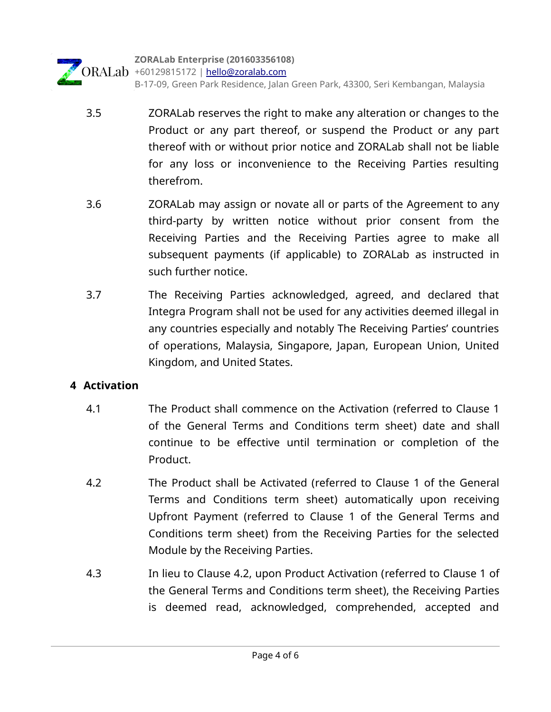

- 3.5 ZORALab reserves the right to make any alteration or changes to the Product or any part thereof, or suspend the Product or any part thereof with or without prior notice and ZORALab shall not be liable for any loss or inconvenience to the Receiving Parties resulting therefrom.
- 3.6 ZORALab may assign or novate all or parts of the Agreement to any third-party by written notice without prior consent from the Receiving Parties and the Receiving Parties agree to make all subsequent payments (if applicable) to ZORALab as instructed in such further notice.
- 3.7 The Receiving Parties acknowledged, agreed, and declared that Integra Program shall not be used for any activities deemed illegal in any countries especially and notably The Receiving Parties' countries of operations, Malaysia, Singapore, Japan, European Union, United Kingdom, and United States.

### **4 Activation**

- 4.1 The Product shall commence on the Activation (referred to Clause 1 of the General Terms and Conditions term sheet) date and shall continue to be effective until termination or completion of the Product.
- 4.2 The Product shall be Activated (referred to Clause 1 of the General Terms and Conditions term sheet) automatically upon receiving Upfront Payment (referred to Clause 1 of the General Terms and Conditions term sheet) from the Receiving Parties for the selected Module by the Receiving Parties.
- 4.3 In lieu to Clause 4.2, upon Product Activation (referred to Clause 1 of the General Terms and Conditions term sheet), the Receiving Parties is deemed read, acknowledged, comprehended, accepted and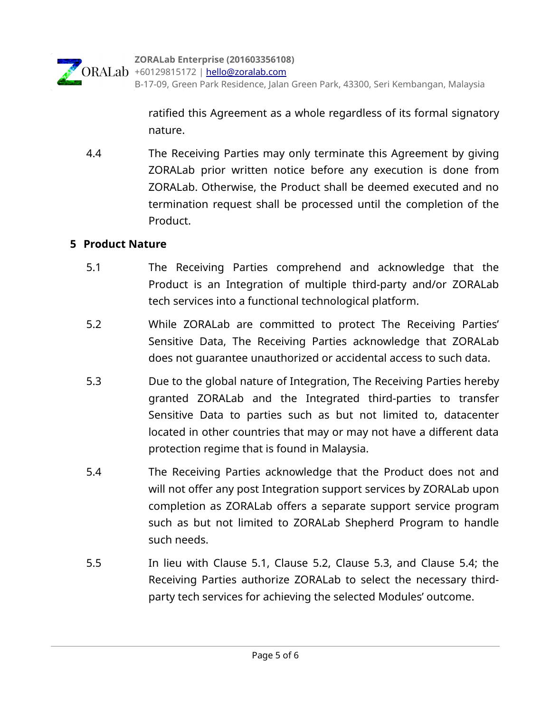ratified this Agreement as a whole regardless of its formal signatory nature.

 4.4 The Receiving Parties may only terminate this Agreement by giving ZORALab prior written notice before any execution is done from ZORALab. Otherwise, the Product shall be deemed executed and no termination request shall be processed until the completion of the Product.

#### **5 Product Nature**

- 5.1 The Receiving Parties comprehend and acknowledge that the Product is an Integration of multiple third-party and/or ZORALab tech services into a functional technological platform.
- 5.2 While ZORALab are committed to protect The Receiving Parties' Sensitive Data, The Receiving Parties acknowledge that ZORALab does not guarantee unauthorized or accidental access to such data.
- 5.3 Due to the global nature of Integration, The Receiving Parties hereby granted ZORALab and the Integrated third-parties to transfer Sensitive Data to parties such as but not limited to, datacenter located in other countries that may or may not have a different data protection regime that is found in Malaysia.
- 5.4 The Receiving Parties acknowledge that the Product does not and will not offer any post Integration support services by ZORALab upon completion as ZORALab offers a separate support service program such as but not limited to ZORALab Shepherd Program to handle such needs.
- 5.5 In lieu with Clause 5.1, Clause 5.2, Clause 5.3, and Clause 5.4; the Receiving Parties authorize ZORALab to select the necessary thirdparty tech services for achieving the selected Modules' outcome.